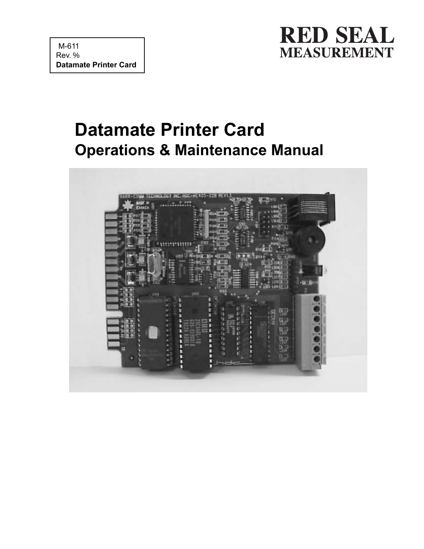

# **Datamate Printer Card Operations & Maintenance Manual**

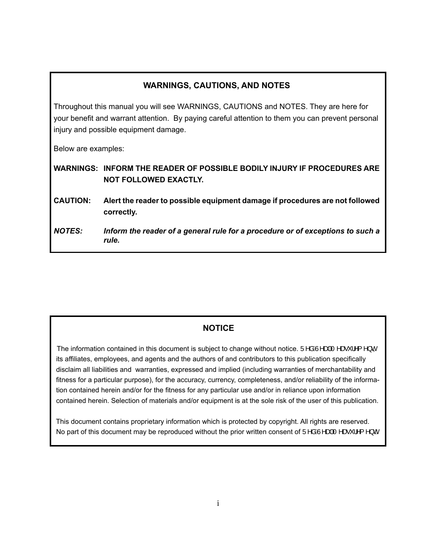#### **WARNINGS, CAUTIONS, AND NOTES**

Throughout this manual you will see WARNINGS, CAUTIONS and NOTES. They are here for your benefit and warrant attention. By paying careful attention to them you can prevent personal injury and possible equipment damage.

Below are examples:

**WARNINGS: INFORM THE READER OF POSSIBLE BODILY INJURY IF PROCEDURES ARE NOT FOLLOWED EXACTLY.**

**CAUTION: Alert the reader to possible equipment damage if procedures are not followed correctly.**

*NOTES: Inform the reader of a general rule for a procedure or of exceptions to such a rule.*

#### **NOTICE**

The information contained in this document is subject to change without notice. Una  $\hat{A}$ M $\hat{A}$ A $\hat{A}$   $\hat{B}$   $\hat{B}$   $\hat{C}$   $\hat{C}$   $\hat{C}$   $\hat{C}$   $\hat{C}$   $\hat{C}$   $\hat{C}$   $\hat{C}$   $\hat{C}$   $\hat{C}$   $\hat{C}$   $\hat{C}$  its affiliates, employees, and agents and the authors of and contributors to this publication specifically disclaim all liabilities and warranties, expressed and implied (including warranties of merchantability and fitness for a particular purpose), for the accuracy, currency, completeness, and/or reliability of the informa tion contained herein and/or for the fitness for any particular use and/or in reliance upon information contained herein. Selection of materials and/or equipment is at the sole risk of the user of this publication.

 This document contains proprietary information which is protected by copyright. All rights are reserved. No part of this document may be reproduced without the prior written consent of  $\ddot{\theta}$ AGA $\ddot{\theta}$ A $\ddot{\theta}$ A $\ddot{\theta}$ A $\ddot{\theta}$  A $\ddot{\theta}$  + A $\ddot{\theta}$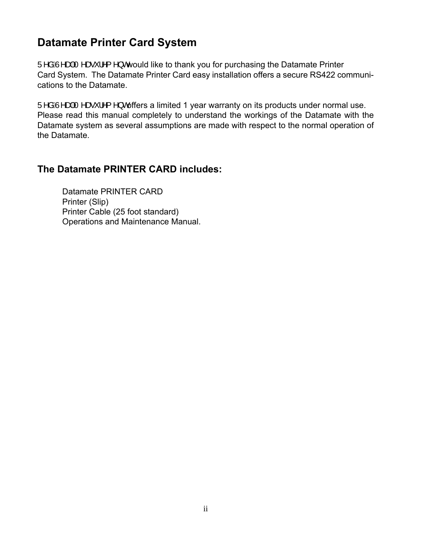### **Datamate Printer Card System**

 $U^{\wedge}a\hat{A}^{\wedge}$   $\otimes$   $\otimes$   $\wedge$   $\wedge$   $\wedge$  cwould like to thank you for purchasing the Datamate Printer Card System. The Datamate Printer Card easy installation offers a secure RS422 communications to the Datamate.

 $\overline{U}$ <sup>A</sup> $\hat{A}$  $\overline{A}$  $\rightarrow$   $\hat{A}$  $\overline{A}$   $\rightarrow$   $\hat{B}$   $\rightarrow$   $\hat{C}$  offers a limited 1 year warranty on its products under normal use. Please read this manual completely to understand the workings of the Datamate with the Datamate system as several assumptions are made with respect to the normal operation of the Datamate.

#### **The Datamate PRINTER CARD includes:**

Datamate PRINTER CARD Printer (Slip) Printer Cable (25 foot standard) Operations and Maintenance Manual.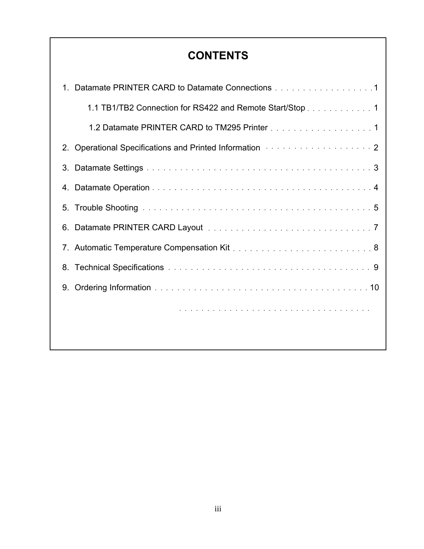### **CONTENTS**

|    | 1. Datamate PRINTER CARD to Datamate Connections 1                                                                                                                                                                             |
|----|--------------------------------------------------------------------------------------------------------------------------------------------------------------------------------------------------------------------------------|
|    | 1.1 TB1/TB2 Connection for RS422 and Remote Start/Stop 1                                                                                                                                                                       |
|    | 1.2 Datamate PRINTER CARD to TM295 Printer 1                                                                                                                                                                                   |
|    | 2. Operational Specifications and Printed Information <b>Constantion 2</b>                                                                                                                                                     |
| 3. |                                                                                                                                                                                                                                |
|    |                                                                                                                                                                                                                                |
|    |                                                                                                                                                                                                                                |
|    |                                                                                                                                                                                                                                |
|    | 7. Automatic Temperature Compensation Kit [1] [1] The Latitude Line Research Atlantic Research Atlantic Research Atlantic Research Atlantic Research Atlantic Research Atlantic Research Atlantic Research Atlantic Research A |
|    | 8. Technical Specifications were also assessed as a series of the contract of the Specifications of the contract of the contract of the Specifications of the contract of the contract of the contract of the contract of the  |
| 9. |                                                                                                                                                                                                                                |
|    |                                                                                                                                                                                                                                |
|    |                                                                                                                                                                                                                                |

 $\overline{\phantom{a}}$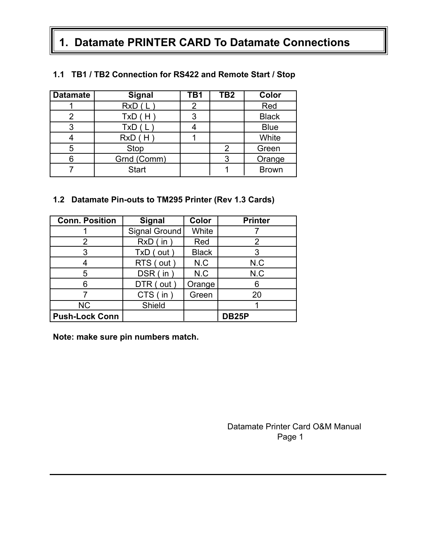## **1. Datamate PRINTER CARD To Datamate Connections**

| <b>Datamate</b> | <b>Signal</b> | TB1 | TB2 | Color        |
|-----------------|---------------|-----|-----|--------------|
|                 | RxD(L)        | 2   |     | Red          |
| 2               | TxD(H)        | 3   |     | <b>Black</b> |
| 3               | TxD(L)        |     |     | <b>Blue</b>  |
|                 | RxD(H)        |     |     | White        |
| 5               | Stop          |     | 2   | Green        |
|                 | Grnd (Comm)   |     |     | Orange       |
|                 | <b>Start</b>  |     |     | <b>Brown</b> |

#### **1.1 TB1 / TB2 Connection for RS422 and Remote Start / Stop**

#### **1.2 Datamate Pin-outs to TM295 Printer (Rev 1.3 Cards)**

| <b>Conn. Position</b> | <b>Signal</b>        | Color        | <b>Printer</b> |
|-----------------------|----------------------|--------------|----------------|
|                       | <b>Signal Ground</b> | White        |                |
| 2                     | $RxD$ (in)           | Red          |                |
| 3                     | $TxD$ (out)          | <b>Black</b> |                |
|                       | RTS (out)            | N.C          | N.C            |
| 5                     | $DSR$ (in)           | N.C          | N.C            |
| 6                     | DTR (out)            | Orange       | 6              |
|                       | CTS (in)             | Green        | 20             |
| <b>NC</b>             | Shield               |              |                |
| <b>Push-Lock Conn</b> |                      |              | <b>DB25P</b>   |

**Note: make sure pin numbers match.**

Datamate Printer Card O&M Manual Page 1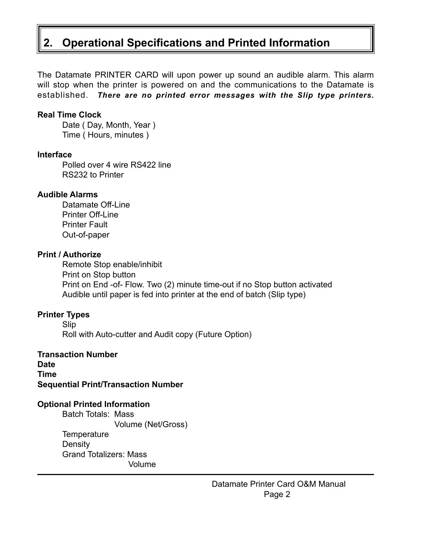## **2. Operational Specifications and Printed Information**

The Datamate PRINTER CARD will upon power up sound an audible alarm. This alarm will stop when the printer is powered on and the communications to the Datamate is established. *There are no printed error messages with the Slip type printers.*

#### **Real Time Clock**

Date (Day, Month, Year) Time ( Hours, minutes )

#### **Interface**

Polled over 4 wire RS422 line RS232 to Printer

#### **Audible Alarms**

Datamate Off-Line Printer Off-Line Printer Fault Out-of-paper

#### **Print / Authorize**

Remote Stop enable/inhibit Print on Stop button Print on End -of- Flow. Two (2) minute time-out if no Stop button activated Audible until paper is fed into printer at the end of batch (Slip type)

#### **Printer Types**

Slip Roll with Auto-cutter and Audit copy (Future Option)

#### **Transaction Number Date Time Sequential Print/Transaction Number**

#### **Optional Printed Information**

Batch Totals: Mass Volume (Net/Gross) **Temperature Density** Grand Totalizers: Mass Volume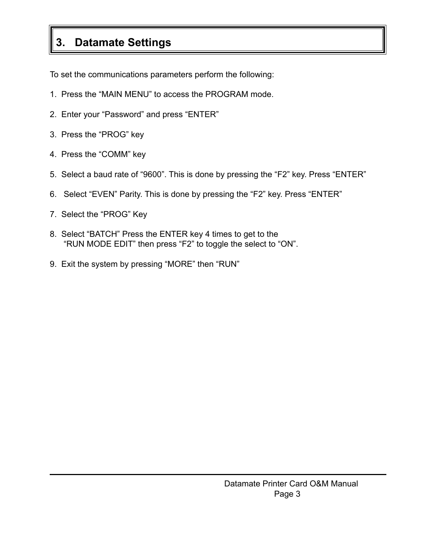## **3. Datamate Settings**

To set the communications parameters perform the following:

- 1. Press the "MAIN MENU" to access the PROGRAM mode.
- 2. Enter your "Password" and press "ENTER"
- 3. Press the "PROG" key
- 4. Press the "COMM" key
- 5. Select a baud rate of "9600". This is done by pressing the "F2" key. Press "ENTER"
- 6. Select "EVEN" Parity. This is done by pressing the "F2" key. Press "ENTER"
- 7. Select the "PROG" Key
- 8. Select "BATCH" Press the ENTER key 4 times to get to the "RUN MODE EDIT" then press "F2" to toggle the select to "ON".
- 9. Exit the system by pressing "MORE" then "RUN"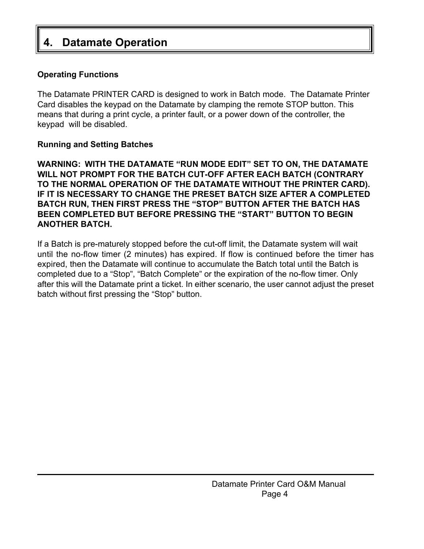## **Datamate Operation**

#### **Operating Functions**

The Datamate PRINTER CARD is designed to work in Batch mode. The Datamate Printer Card disables the keypad on the Datamate by clamping the remote STOP button. This means that during a print cycle, a printer fault, or a power down of the controller, the keypad will be disabled.

#### **Running and Setting Batches**

**WARNING: WITH THE DATAMATE "RUN MODE EDIT" SET TO ON, THE DATAMATE WILL NOT PROMPT FOR THE BATCH CUT-OFF AFTER EACH BATCH (CONTRARY TO THE NORMAL OPERATION OF THE DATAMATE WITHOUT THE PRINTER CARD). IF IT IS NECESSARY TO CHANGE THE PRESET BATCH SIZE AFTER A COMPLETED BATCH RUN, THEN FIRST PRESS THE "STOP" BUTTON AFTER THE BATCH HAS BEEN COMPLETED BUT BEFORE PRESSING THE "START" BUTTON TO BEGIN ANOTHER BATCH.**

If a Batch is pre-maturely stopped before the cut-off limit, the Datamate system will wait until the no-flow timer (2 minutes) has expired. If flow is continued before the timer has expired, then the Datamate will continue to accumulate the Batch total until the Batch is completed due to a "Stop", "Batch Complete" or the expiration of the no-flow timer. Only after this will the Datamate print a ticket. In either scenario, the user cannot adjust the preset batch without first pressing the "Stop" button.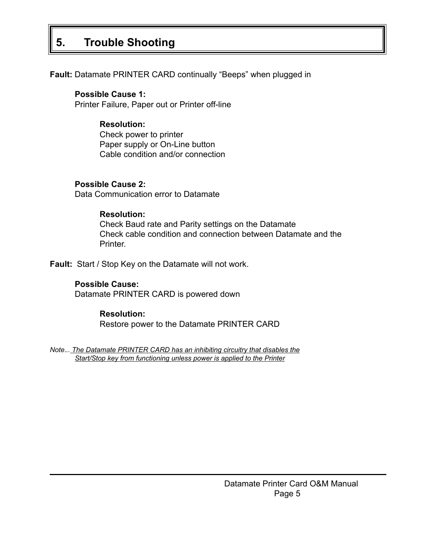## **5. Trouble Shooting**

**Fault:** Datamate PRINTER CARD continually "Beeps" when plugged in

#### **Possible Cause 1:**

Printer Failure, Paper out or Printer off-line

#### **Resolution:**

Check power to printer Paper supply or On-Line button Cable condition and/or connection

#### **Possible Cause 2:**

Data Communication error to Datamate

#### **Resolution:**

Check Baud rate and Parity settings on the Datamate Check cable condition and connection between Datamate and the Printer.

**Fault:** Start / Stop Key on the Datamate will not work.

#### **Possible Cause:**

Datamate PRINTER CARD is powered down

#### **Resolution:**

Restore power to the Datamate PRINTER CARD

*Note*.*.. The Datamate PRINTER CARD has an inhibiting circuitry that disables the Start/Stop key from functioning unless power is applied to the Printer*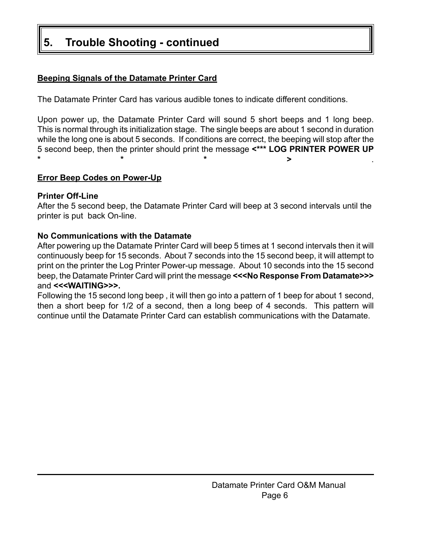## **5. Trouble Shooting - continued**

#### **Beeping Signals of the Datamate Printer Card**

The Datamate Printer Card has various audible tones to indicate different conditions.

Upon power up, the Datamate Printer Card will sound 5 short beeps and 1 long beep. This is normal through its initialization stage. The single beeps are about 1 second in duration while the long one is about 5 seconds. If conditions are correct, the beeping will stop after the 5 second beep, then the printer should print the message **<\*\*\* LOG PRINTER POWER UP \*\*\*>** .

#### **Error Beep Codes on Power-Up**

#### **Printer Off-Line**

After the 5 second beep, the Datamate Printer Card will beep at 3 second intervals until the printer is put back On-line.

#### **No Communications with the Datamate**

After powering up the Datamate Printer Card will beep 5 times at 1 second intervals then it will continuously beep for 15 seconds. About 7 seconds into the 15 second beep, it will attempt to print on the printer the Log Printer Power-up message. About 10 seconds into the 15 second beep, the Datamate Printer Card will print the message **<<<No Response From Datamate>>>** and **<<<WAITING>>>.**

Following the 15 second long beep , it will then go into a pattern of 1 beep for about 1 second, then a short beep for 1/2 of a second, then a long beep of 4 seconds. This pattern will continue until the Datamate Printer Card can establish communications with the Datamate.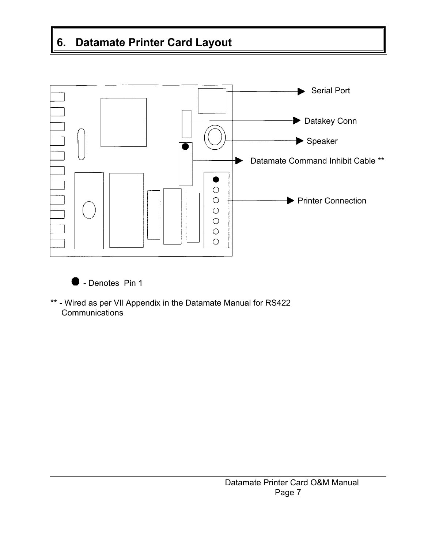## **6. Datamate Printer Card Layout**





**\*\* -** Wired as per VII Appendix in the Datamate Manual for RS422 **Communications**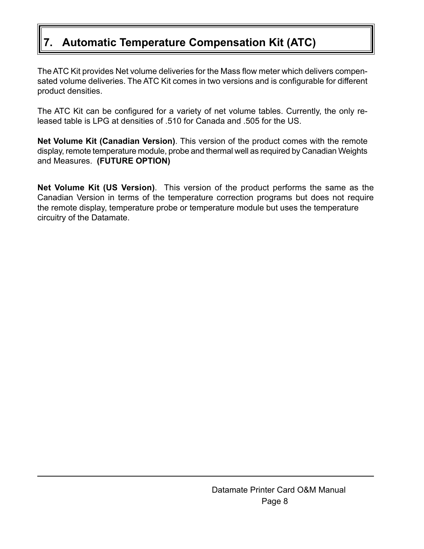## **7. Automatic Temperature Compensation Kit (ATC)**

The ATC Kit provides Net volume deliveries for the Mass flow meter which delivers compensated volume deliveries. The ATC Kit comes in two versions and is configurable for different product densities.

The ATC Kit can be configured for a variety of net volume tables. Currently, the only released table is LPG at densities of .510 for Canada and .505 for the US.

**Net Volume Kit (Canadian Version)**. This version of the product comes with the remote display, remote temperature module, probe and thermal well as required by Canadian Weights and Measures. **(FUTURE OPTION)**

**Net Volume Kit (US Version)**. This version of the product performs the same as the Canadian Version in terms of the temperature correction programs but does not require the remote display, temperature probe or temperature module but uses the temperature circuitry of the Datamate.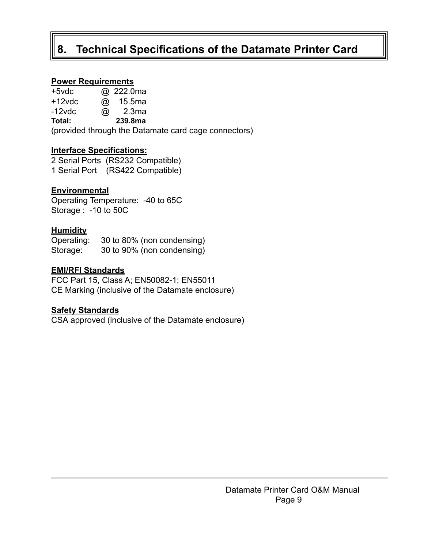### **8. Technical Specifications of the Datamate Printer Card**

#### **Power Requirements**

| $+5$ vdc  |             | @ 222.0ma |
|-----------|-------------|-----------|
| $+12$ vdc | $\circleda$ | 15.5ma    |

-12vdc @ 2.3ma

**Total: 239.8ma**

(provided through the Datamate card cage connectors)

#### **Interface Specifications:**

2 Serial Ports (RS232 Compatible) 1 Serial Port (RS422 Compatible)

#### **Environmental**

Operating Temperature: -40 to 65C Storage : -10 to 50C

#### **Humidity**

Operating: 30 to 80% (non condensing) Storage: 30 to 90% (non condensing)

#### **EMI/RFI Standards**

FCC Part 15, Class A; EN50082-1; EN55011 CE Marking (inclusive of the Datamate enclosure)

#### **Safety Standards**

CSA approved (inclusive of the Datamate enclosure)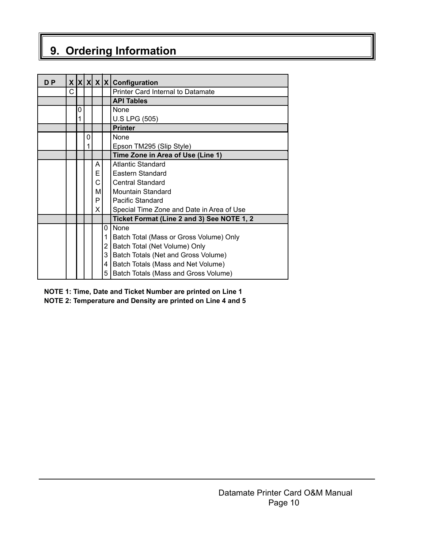## **9. Ordering Information**

| D <sub>P</sub> | X |   |   |    |   | $ X X X C$ onfiguration                    |
|----------------|---|---|---|----|---|--------------------------------------------|
|                | C |   |   |    |   | Printer Card Internal to Datamate          |
|                |   |   |   |    |   | <b>API Tables</b>                          |
|                |   | 0 |   |    |   | None                                       |
|                |   | 1 |   |    |   | <b>U.S LPG (505)</b>                       |
|                |   |   |   |    |   | <b>Printer</b>                             |
|                |   |   | 0 |    |   | <b>None</b>                                |
|                |   |   |   |    |   | Epson TM295 (Slip Style)                   |
|                |   |   |   |    |   | Time Zone in Area of Use (Line 1)          |
|                |   |   |   | A  |   | Atlantic Standard                          |
|                |   |   |   | E  |   | Eastern Standard                           |
|                |   |   |   | С  |   | <b>Central Standard</b>                    |
|                |   |   |   | М  |   | <b>Mountain Standard</b>                   |
|                |   |   |   | P  |   | Pacific Standard                           |
|                |   |   |   | X. |   | Special Time Zone and Date in Area of Use  |
|                |   |   |   |    |   | Ticket Format (Line 2 and 3) See NOTE 1, 2 |
|                |   |   |   |    | 0 | <b>None</b>                                |
|                |   |   |   |    | 1 | Batch Total (Mass or Gross Volume) Only    |
|                |   |   |   |    | 2 | Batch Total (Net Volume) Only              |
|                |   |   |   |    | 3 | Batch Totals (Net and Gross Volume)        |
|                |   |   |   |    | 4 | Batch Totals (Mass and Net Volume)         |
|                |   |   |   |    | 5 | Batch Totals (Mass and Gross Volume)       |

#### **NOTE 1: Time, Date and Ticket Number are printed on Line 1 NOTE 2: Temperature and Density are printed on Line 4 and 5**